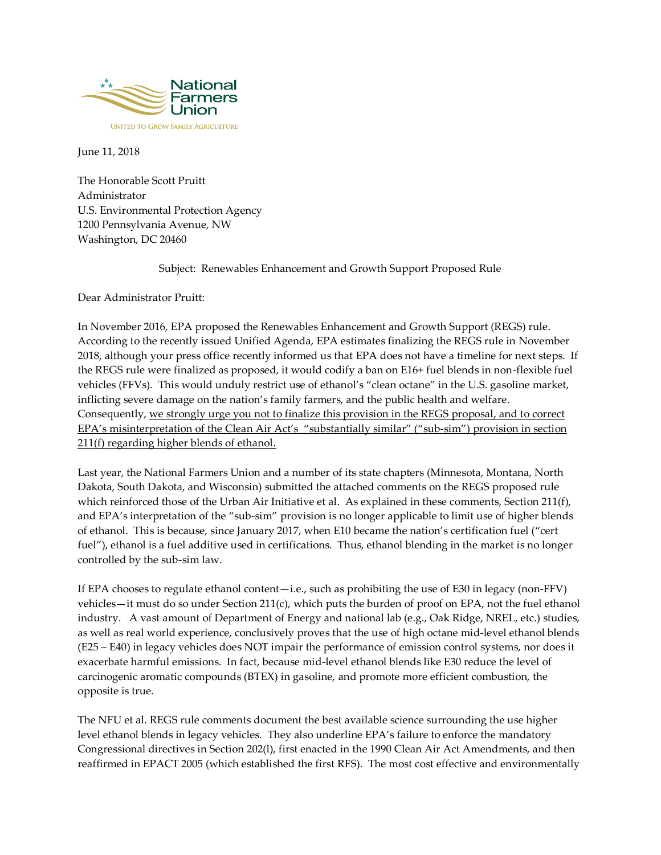

June 11, 2018

The Honorable Scott Pruitt Administrator U.S. Environmental Protection Agency 1200 Pennsylvania Avenue, NW Washington, DC 20460

Subject: Renewables Enhancement and Growth Support Proposed Rule

Dear Administrator Pruitt:

In November 2016, EPA proposed the Renewables Enhancement and Growth Support (REGS) rule. According to the recently issued Unified Agenda, EPA estimates finalizing the REGS rule in November 2018, although your press office recently informed us that EPA does not have a timeline for next steps. If the REGS rule were finalized as proposed, it would codify a ban on E16+ fuel blends in non-flexible fuel vehicles (FFVs). This would unduly restrict use of ethanol's "clean octane" in the U.S. gasoline market, inflicting severe damage on the nation's family farmers, and the public health and welfare. Consequently, we strongly urge you not to finalize this provision in the REGS proposal, and to correct EPA's misinterpretation of the Clean Air Act's "substantially similar" ("sub-sim") provision in section 211(f) regarding higher blends of ethanol.

Last year, the National Farmers Union and a number of its state chapters (Minnesota, Montana, North Dakota, South Dakota, and Wisconsin) submitted the attached comments on the REGS proposed rule which reinforced those of the Urban Air Initiative et al. As explained in these comments, Section 211(f), and EPA's interpretation of the "sub-sim" provision is no longer applicable to limit use of higher blends of ethanol. This is because, since January 2017, when E10 became the nation's certification fuel ("cert fuel"), ethanol is a fuel additive used in certifications. Thus, ethanol blending in the market is no longer controlled by the sub-sim law.

If EPA chooses to regulate ethanol content—i.e., such as prohibiting the use of E30 in legacy (non-FFV) vehicles—it must do so under Section 211(c), which puts the burden of proof on EPA, not the fuel ethanol industry. A vast amount of Department of Energy and national lab (e.g., Oak Ridge, NREL, etc.) studies, as well as real world experience, conclusively proves that the use of high octane mid-level ethanol blends (E25 – E40) in legacy vehicles does NOT impair the performance of emission control systems, nor does it exacerbate harmful emissions. In fact, because mid-level ethanol blends like E30 reduce the level of carcinogenic aromatic compounds (BTEX) in gasoline, and promote more efficient combustion, the opposite is true.

The NFU et al. REGS rule comments document the best available science surrounding the use higher level ethanol blends in legacy vehicles. They also underline EPA's failure to enforce the mandatory Congressional directives in Section 202(l), first enacted in the 1990 Clean Air Act Amendments, and then reaffirmed in EPACT 2005 (which established the first RFS). The most cost effective and environmentally